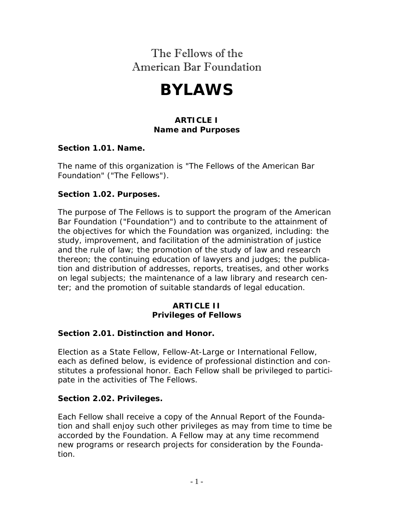# The Fellows of the American Bar Foundation

# **BYLAWS**

# **ARTICLE I Name and Purposes**

#### **Section 1.01. Name.**

The name of this organization is "The Fellows of the American Bar Foundation" ("The Fellows").

#### **Section 1.02. Purposes.**

The purpose of The Fellows is to support the program of the American Bar Foundation ("Foundation") and to contribute to the attainment of the objectives for which the Foundation was organized, including: the study, improvement, and facilitation of the administration of justice and the rule of law; the promotion of the study of law and research thereon; the continuing education of lawyers and judges; the publication and distribution of addresses, reports, treatises, and other works on legal subjects; the maintenance of a law library and research center; and the promotion of suitable standards of legal education.

#### **ARTICLE II Privileges of Fellows**

# **Section 2.01. Distinction and Honor.**

Election as a State Fellow, Fellow-At-Large or International Fellow, each as defined below, is evidence of professional distinction and constitutes a professional honor. Each Fellow shall be privileged to participate in the activities of The Fellows.

#### **Section 2.02. Privileges.**

Each Fellow shall receive a copy of the Annual Report of the Foundation and shall enjoy such other privileges as may from time to time be accorded by the Foundation. A Fellow may at any time recommend new programs or research projects for consideration by the Foundation.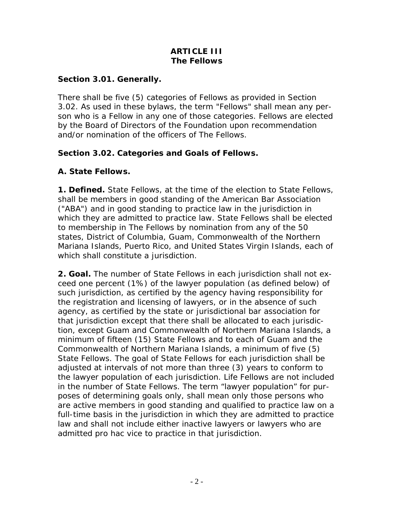#### **ARTICLE III The Fellows**

## **Section 3.01. Generally.**

There shall be five (5) categories of Fellows as provided in Section 3.02. As used in these bylaws, the term "Fellows" shall mean any person who is a Fellow in any one of those categories. Fellows are elected by the Board of Directors of the Foundation upon recommendation and/or nomination of the officers of The Fellows.

# **Section 3.02. Categories and Goals of Fellows.**

# **A. State Fellows.**

**1. Defined.** State Fellows, at the time of the election to State Fellows, shall be members in good standing of the American Bar Association ("ABA") and in good standing to practice law in the jurisdiction in which they are admitted to practice law. State Fellows shall be elected to membership in The Fellows by nomination from any of the 50 states, District of Columbia, Guam, Commonwealth of the Northern Mariana Islands, Puerto Rico, and United States Virgin Islands, each of which shall constitute a jurisdiction.

**2. Goal.** The number of State Fellows in each jurisdiction shall not exceed one percent (1%) of the lawyer population (as defined below) of such jurisdiction, as certified by the agency having responsibility for the registration and licensing of lawyers, or in the absence of such agency, as certified by the state or jurisdictional bar association for that jurisdiction except that there shall be allocated to each jurisdiction, except Guam and Commonwealth of Northern Mariana Islands, a minimum of fifteen (15) State Fellows and to each of Guam and the Commonwealth of Northern Mariana Islands, a minimum of five (5) State Fellows. The goal of State Fellows for each jurisdiction shall be adjusted at intervals of not more than three (3) years to conform to the lawyer population of each jurisdiction. Life Fellows are not included in the number of State Fellows. The term "lawyer population" for purposes of determining goals only, shall mean only those persons who are active members in good standing and qualified to practice law on a full-time basis in the jurisdiction in which they are admitted to practice law and shall not include either inactive lawyers or lawyers who are admitted pro hac vice to practice in that jurisdiction.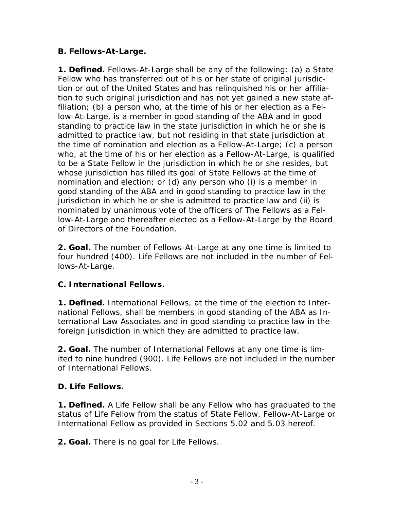# **B. Fellows-At-Large.**

**1. Defined.** Fellows-At-Large shall be any of the following: (a) a State Fellow who has transferred out of his or her state of original jurisdiction or out of the United States and has relinquished his or her affiliation to such original jurisdiction and has not yet gained a new state affiliation; (b) a person who, at the time of his or her election as a Fellow-At-Large, is a member in good standing of the ABA and in good standing to practice law in the state jurisdiction in which he or she is admitted to practice law, but not residing in that state jurisdiction at the time of nomination and election as a Fellow-At-Large; (c) a person who, at the time of his or her election as a Fellow-At-Large, is qualified to be a State Fellow in the jurisdiction in which he or she resides, but whose jurisdiction has filled its goal of State Fellows at the time of nomination and election; or (d) any person who (i) is a member in good standing of the ABA and in good standing to practice law in the jurisdiction in which he or she is admitted to practice law and (ii) is nominated by unanimous vote of the officers of The Fellows as a Fellow-At-Large and thereafter elected as a Fellow-At-Large by the Board of Directors of the Foundation.

**2. Goal.** The number of Fellows-At-Large at any one time is limited to four hundred (400). Life Fellows are not included in the number of Fellows-At-Large.

# **C. International Fellows.**

**1. Defined.** International Fellows, at the time of the election to International Fellows, shall be members in good standing of the ABA as International Law Associates and in good standing to practice law in the foreign jurisdiction in which they are admitted to practice law.

**2. Goal.** The number of International Fellows at any one time is limited to nine hundred (900). Life Fellows are not included in the number of International Fellows.

# **D. Life Fellows.**

**1. Defined.** A Life Fellow shall be any Fellow who has graduated to the status of Life Fellow from the status of State Fellow, Fellow-At-Large or International Fellow as provided in Sections 5.02 and 5.03 hereof.

**2. Goal.** There is no goal for Life Fellows.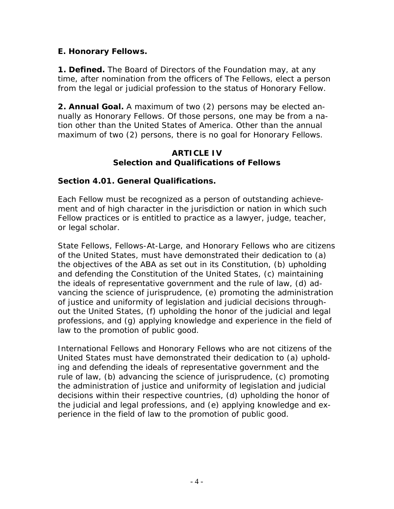## **E. Honorary Fellows.**

**1. Defined.** The Board of Directors of the Foundation may, at any time, after nomination from the officers of The Fellows, elect a person from the legal or judicial profession to the status of Honorary Fellow.

**2. Annual Goal.** A maximum of two (2) persons may be elected annually as Honorary Fellows. Of those persons, one may be from a nation other than the United States of America. Other than the annual maximum of two (2) persons, there is no goal for Honorary Fellows.

#### **ARTICLE IV Selection and Qualifications of Fellows**

#### **Section 4.01. General Qualifications.**

Each Fellow must be recognized as a person of outstanding achievement and of high character in the jurisdiction or nation in which such Fellow practices or is entitled to practice as a lawyer, judge, teacher, or legal scholar.

State Fellows, Fellows-At-Large, and Honorary Fellows who are citizens of the United States, must have demonstrated their dedication to (a) the objectives of the ABA as set out in its Constitution, (b) upholding and defending the Constitution of the United States, (c) maintaining the ideals of representative government and the rule of law, (d) advancing the science of jurisprudence, (e) promoting the administration of justice and uniformity of legislation and judicial decisions throughout the United States, (f) upholding the honor of the judicial and legal professions, and (g) applying knowledge and experience in the field of law to the promotion of public good.

International Fellows and Honorary Fellows who are not citizens of the United States must have demonstrated their dedication to (a) upholding and defending the ideals of representative government and the rule of law, (b) advancing the science of jurisprudence, (c) promoting the administration of justice and uniformity of legislation and judicial decisions within their respective countries, (d) upholding the honor of the judicial and legal professions, and (e) applying knowledge and experience in the field of law to the promotion of public good.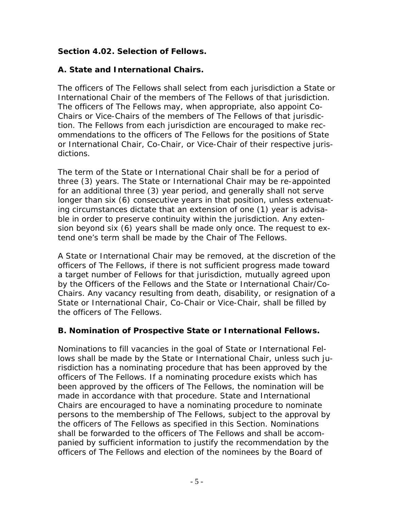# **Section 4.02. Selection of Fellows.**

# **A. State and International Chairs.**

The officers of The Fellows shall select from each jurisdiction a State or International Chair of the members of The Fellows of that jurisdiction. The officers of The Fellows may, when appropriate, also appoint Co-Chairs or Vice-Chairs of the members of The Fellows of that jurisdiction. The Fellows from each jurisdiction are encouraged to make recommendations to the officers of The Fellows for the positions of State or International Chair, Co-Chair, or Vice-Chair of their respective jurisdictions.

The term of the State or International Chair shall be for a period of three (3) years. The State or International Chair may be re-appointed for an additional three (3) year period, and generally shall not serve longer than six (6) consecutive years in that position, unless extenuating circumstances dictate that an extension of one (1) year is advisable in order to preserve continuity within the jurisdiction. Any extension beyond six (6) years shall be made only once. The request to extend one's term shall be made by the Chair of The Fellows.

A State or International Chair may be removed, at the discretion of the officers of The Fellows, if there is not sufficient progress made toward a target number of Fellows for that jurisdiction, mutually agreed upon by the Officers of the Fellows and the State or International Chair/Co-Chairs. Any vacancy resulting from death, disability, or resignation of a State or International Chair, Co-Chair or Vice-Chair, shall be filled by the officers of The Fellows.

# **B. Nomination of Prospective State or International Fellows.**

Nominations to fill vacancies in the goal of State or International Fellows shall be made by the State or International Chair, unless such jurisdiction has a nominating procedure that has been approved by the officers of The Fellows. If a nominating procedure exists which has been approved by the officers of The Fellows, the nomination will be made in accordance with that procedure. State and International Chairs are encouraged to have a nominating procedure to nominate persons to the membership of The Fellows, subject to the approval by the officers of The Fellows as specified in this Section. Nominations shall be forwarded to the officers of The Fellows and shall be accompanied by sufficient information to justify the recommendation by the officers of The Fellows and election of the nominees by the Board of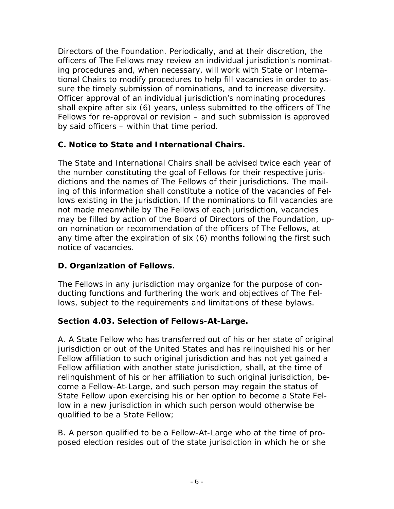Directors of the Foundation. Periodically, and at their discretion, the officers of The Fellows may review an individual jurisdiction's nominating procedures and, when necessary, will work with State or International Chairs to modify procedures to help fill vacancies in order to assure the timely submission of nominations, and to increase diversity. Officer approval of an individual jurisdiction's nominating procedures shall expire after six (6) years, unless submitted to the officers of The Fellows for re-approval or revision – and such submission is approved by said officers – within that time period.

# **C. Notice to State and International Chairs.**

The State and International Chairs shall be advised twice each year of the number constituting the goal of Fellows for their respective jurisdictions and the names of The Fellows of their jurisdictions. The mailing of this information shall constitute a notice of the vacancies of Fellows existing in the jurisdiction. If the nominations to fill vacancies are not made meanwhile by The Fellows of each jurisdiction, vacancies may be filled by action of the Board of Directors of the Foundation, upon nomination or recommendation of the officers of The Fellows, at any time after the expiration of six (6) months following the first such notice of vacancies.

# **D. Organization of Fellows.**

The Fellows in any jurisdiction may organize for the purpose of conducting functions and furthering the work and objectives of The Fellows, subject to the requirements and limitations of these bylaws.

# **Section 4.03. Selection of Fellows-At-Large.**

A. A State Fellow who has transferred out of his or her state of original jurisdiction or out of the United States and has relinquished his or her Fellow affiliation to such original jurisdiction and has not yet gained a Fellow affiliation with another state jurisdiction, shall, at the time of relinquishment of his or her affiliation to such original jurisdiction, become a Fellow-At-Large, and such person may regain the status of State Fellow upon exercising his or her option to become a State Fellow in a new jurisdiction in which such person would otherwise be qualified to be a State Fellow;

B. A person qualified to be a Fellow-At-Large who at the time of proposed election resides out of the state jurisdiction in which he or she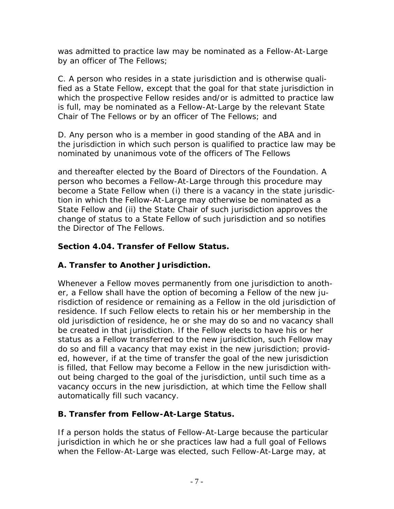was admitted to practice law may be nominated as a Fellow-At-Large by an officer of The Fellows;

C. A person who resides in a state jurisdiction and is otherwise qualified as a State Fellow, except that the goal for that state jurisdiction in which the prospective Fellow resides and/or is admitted to practice law is full, may be nominated as a Fellow-At-Large by the relevant State Chair of The Fellows or by an officer of The Fellows; and

D. Any person who is a member in good standing of the ABA and in the jurisdiction in which such person is qualified to practice law may be nominated by unanimous vote of the officers of The Fellows

and thereafter elected by the Board of Directors of the Foundation. A person who becomes a Fellow-At-Large through this procedure may become a State Fellow when (i) there is a vacancy in the state jurisdiction in which the Fellow-At-Large may otherwise be nominated as a State Fellow and (ii) the State Chair of such jurisdiction approves the change of status to a State Fellow of such jurisdiction and so notifies the Director of The Fellows.

# **Section 4.04. Transfer of Fellow Status.**

# **A. Transfer to Another Jurisdiction.**

Whenever a Fellow moves permanently from one jurisdiction to another, a Fellow shall have the option of becoming a Fellow of the new jurisdiction of residence or remaining as a Fellow in the old jurisdiction of residence. If such Fellow elects to retain his or her membership in the old jurisdiction of residence, he or she may do so and no vacancy shall be created in that jurisdiction. If the Fellow elects to have his or her status as a Fellow transferred to the new jurisdiction, such Fellow may do so and fill a vacancy that may exist in the new jurisdiction; provided, however, if at the time of transfer the goal of the new jurisdiction is filled, that Fellow may become a Fellow in the new jurisdiction without being charged to the goal of the jurisdiction, until such time as a vacancy occurs in the new jurisdiction, at which time the Fellow shall automatically fill such vacancy.

# **B. Transfer from Fellow-At-Large Status.**

If a person holds the status of Fellow-At-Large because the particular jurisdiction in which he or she practices law had a full goal of Fellows when the Fellow-At-Large was elected, such Fellow-At-Large may, at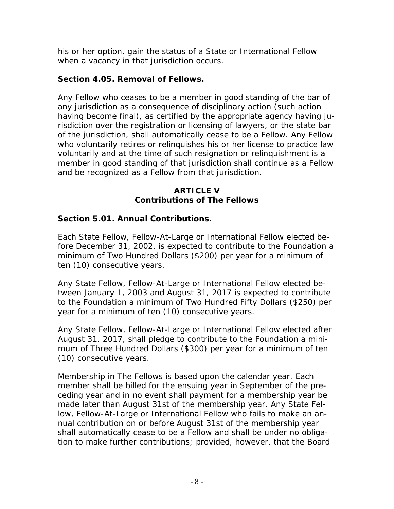his or her option, gain the status of a State or International Fellow when a vacancy in that jurisdiction occurs.

# **Section 4.05. Removal of Fellows.**

Any Fellow who ceases to be a member in good standing of the bar of any jurisdiction as a consequence of disciplinary action (such action having become final), as certified by the appropriate agency having jurisdiction over the registration or licensing of lawyers, or the state bar of the jurisdiction, shall automatically cease to be a Fellow. Any Fellow who voluntarily retires or relinquishes his or her license to practice law voluntarily and at the time of such resignation or relinquishment is a member in good standing of that jurisdiction shall continue as a Fellow and be recognized as a Fellow from that jurisdiction.

#### **ARTICLE V Contributions of The Fellows**

# **Section 5.01. Annual Contributions.**

Each State Fellow, Fellow-At-Large or International Fellow elected before December 31, 2002, is expected to contribute to the Foundation a minimum of Two Hundred Dollars (\$200) per year for a minimum of ten (10) consecutive years.

Any State Fellow, Fellow-At-Large or International Fellow elected between January 1, 2003 and August 31, 2017 is expected to contribute to the Foundation a minimum of Two Hundred Fifty Dollars (\$250) per year for a minimum of ten (10) consecutive years.

Any State Fellow, Fellow-At-Large or International Fellow elected after August 31, 2017, shall pledge to contribute to the Foundation a minimum of Three Hundred Dollars (\$300) per year for a minimum of ten (10) consecutive years.

Membership in The Fellows is based upon the calendar year. Each member shall be billed for the ensuing year in September of the preceding year and in no event shall payment for a membership year be made later than August 31st of the membership year. Any State Fellow, Fellow-At-Large or International Fellow who fails to make an annual contribution on or before August 31st of the membership year shall automatically cease to be a Fellow and shall be under no obligation to make further contributions; provided, however, that the Board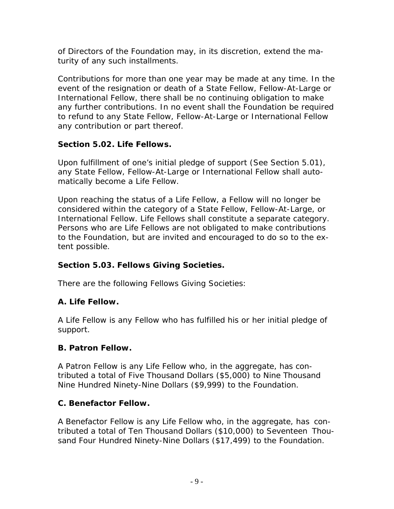of Directors of the Foundation may, in its discretion, extend the maturity of any such installments.

Contributions for more than one year may be made at any time. In the event of the resignation or death of a State Fellow, Fellow-At-Large or International Fellow, there shall be no continuing obligation to make any further contributions. In no event shall the Foundation be required to refund to any State Fellow, Fellow-At-Large or International Fellow any contribution or part thereof.

# **Section 5.02. Life Fellows.**

Upon fulfillment of one's initial pledge of support (See Section 5.01), any State Fellow, Fellow-At-Large or International Fellow shall automatically become a Life Fellow.

Upon reaching the status of a Life Fellow, a Fellow will no longer be considered within the category of a State Fellow, Fellow-At-Large, or International Fellow. Life Fellows shall constitute a separate category. Persons who are Life Fellows are not obligated to make contributions to the Foundation, but are invited and encouraged to do so to the extent possible.

# **Section 5.03. Fellows Giving Societies.**

There are the following Fellows Giving Societies:

# **A. Life Fellow.**

A Life Fellow is any Fellow who has fulfilled his or her initial pledge of support.

# **B. Patron Fellow.**

A Patron Fellow is any Life Fellow who, in the aggregate, has contributed a total of Five Thousand Dollars (\$5,000) to Nine Thousand Nine Hundred Ninety-Nine Dollars (\$9,999) to the Foundation.

# **C. Benefactor Fellow.**

A Benefactor Fellow is any Life Fellow who, in the aggregate, has contributed a total of Ten Thousand Dollars (\$10,000) to Seventeen Thousand Four Hundred Ninety-Nine Dollars (\$17,499) to the Foundation.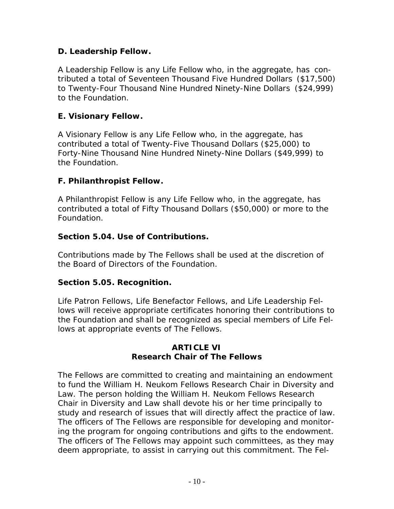# **D. Leadership Fellow.**

A Leadership Fellow is any Life Fellow who, in the aggregate, has contributed a total of Seventeen Thousand Five Hundred Dollars (\$17,500) to Twenty-Four Thousand Nine Hundred Ninety-Nine Dollars (\$24,999) to the Foundation.

# **E. Visionary Fellow.**

A Visionary Fellow is any Life Fellow who, in the aggregate, has contributed a total of Twenty-Five Thousand Dollars (\$25,000) to Forty-Nine Thousand Nine Hundred Ninety-Nine Dollars (\$49,999) to the Foundation.

# **F. Philanthropist Fellow.**

A Philanthropist Fellow is any Life Fellow who, in the aggregate, has contributed a total of Fifty Thousand Dollars (\$50,000) or more to the Foundation.

#### **Section 5.04. Use of Contributions.**

Contributions made by The Fellows shall be used at the discretion of the Board of Directors of the Foundation.

# **Section 5.05. Recognition.**

Life Patron Fellows, Life Benefactor Fellows, and Life Leadership Fellows will receive appropriate certificates honoring their contributions to the Foundation and shall be recognized as special members of Life Fellows at appropriate events of The Fellows.

#### **ARTICLE VI Research Chair of The Fellows**

The Fellows are committed to creating and maintaining an endowment to fund the William H. Neukom Fellows Research Chair in Diversity and Law. The person holding the William H. Neukom Fellows Research Chair in Diversity and Law shall devote his or her time principally to study and research of issues that will directly affect the practice of law. The officers of The Fellows are responsible for developing and monitoring the program for ongoing contributions and gifts to the endowment. The officers of The Fellows may appoint such committees, as they may deem appropriate, to assist in carrying out this commitment. The Fel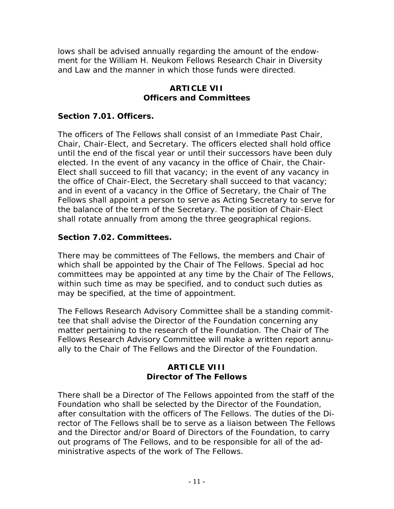lows shall be advised annually regarding the amount of the endowment for the William H. Neukom Fellows Research Chair in Diversity and Law and the manner in which those funds were directed.

#### **ARTICLE VII Officers and Committees**

## **Section 7.01. Officers.**

The officers of The Fellows shall consist of an Immediate Past Chair, Chair, Chair-Elect, and Secretary. The officers elected shall hold office until the end of the fiscal year or until their successors have been duly elected. In the event of any vacancy in the office of Chair, the Chair-Elect shall succeed to fill that vacancy; in the event of any vacancy in the office of Chair-Elect, the Secretary shall succeed to that vacancy; and in event of a vacancy in the Office of Secretary, the Chair of The Fellows shall appoint a person to serve as Acting Secretary to serve for the balance of the term of the Secretary. The position of Chair-Elect shall rotate annually from among the three geographical regions.

#### **Section 7.02. Committees.**

There may be committees of The Fellows, the members and Chair of which shall be appointed by the Chair of The Fellows. Special *ad hoc* committees may be appointed at any time by the Chair of The Fellows, within such time as may be specified, and to conduct such duties as may be specified, at the time of appointment.

The Fellows Research Advisory Committee shall be a standing committee that shall advise the Director of the Foundation concerning any matter pertaining to the research of the Foundation. The Chair of The Fellows Research Advisory Committee will make a written report annually to the Chair of The Fellows and the Director of the Foundation.

#### **ARTICLE VIII Director of The Fellows**

There shall be a Director of The Fellows appointed from the staff of the Foundation who shall be selected by the Director of the Foundation, after consultation with the officers of The Fellows. The duties of the Director of The Fellows shall be to serve as a liaison between The Fellows and the Director and/or Board of Directors of the Foundation, to carry out programs of The Fellows, and to be responsible for all of the administrative aspects of the work of The Fellows.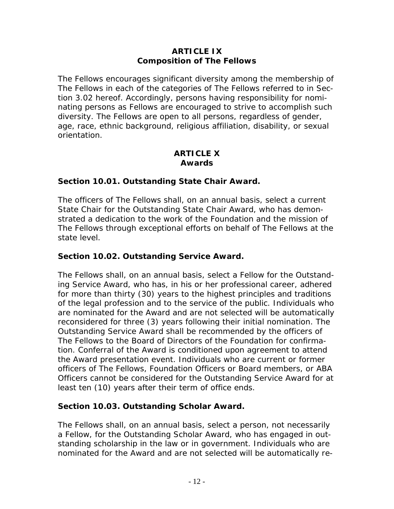## **ARTICLE IX Composition of The Fellows**

The Fellows encourages significant diversity among the membership of The Fellows in each of the categories of The Fellows referred to in Section 3.02 hereof. Accordingly, persons having responsibility for nominating persons as Fellows are encouraged to strive to accomplish such diversity. The Fellows are open to all persons, regardless of gender, age, race, ethnic background, religious affiliation, disability, or sexual orientation.

#### **ARTICLE X Awards**

#### **Section 10.01. Outstanding State Chair Award.**

The officers of The Fellows shall, on an annual basis, select a current State Chair for the Outstanding State Chair Award, who has demonstrated a dedication to the work of the Foundation and the mission of The Fellows through exceptional efforts on behalf of The Fellows at the state level.

## **Section 10.02. Outstanding Service Award.**

The Fellows shall, on an annual basis, select a Fellow for the Outstanding Service Award, who has, in his or her professional career, adhered for more than thirty (30) years to the highest principles and traditions of the legal profession and to the service of the public. Individuals who are nominated for the Award and are not selected will be automatically reconsidered for three (3) years following their initial nomination. The Outstanding Service Award shall be recommended by the officers of The Fellows to the Board of Directors of the Foundation for confirmation. Conferral of the Award is conditioned upon agreement to attend the Award presentation event. Individuals who are current or former officers of The Fellows, Foundation Officers or Board members, or ABA Officers cannot be considered for the Outstanding Service Award for at least ten (10) years after their term of office ends.

# **Section 10.03. Outstanding Scholar Award.**

The Fellows shall, on an annual basis, select a person, not necessarily a Fellow, for the Outstanding Scholar Award, who has engaged in outstanding scholarship in the law or in government. Individuals who are nominated for the Award and are not selected will be automatically re-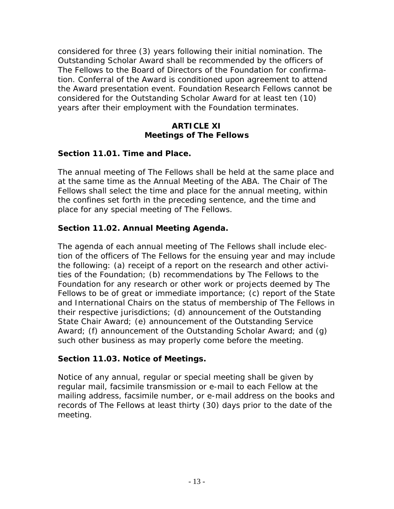considered for three (3) years following their initial nomination. The Outstanding Scholar Award shall be recommended by the officers of The Fellows to the Board of Directors of the Foundation for confirmation. Conferral of the Award is conditioned upon agreement to attend the Award presentation event. Foundation Research Fellows cannot be considered for the Outstanding Scholar Award for at least ten (10) years after their employment with the Foundation terminates.

#### **ARTICLE XI Meetings of The Fellows**

#### **Section 11.01. Time and Place.**

The annual meeting of The Fellows shall be held at the same place and at the same time as the Annual Meeting of the ABA. The Chair of The Fellows shall select the time and place for the annual meeting, within the confines set forth in the preceding sentence, and the time and place for any special meeting of The Fellows.

# **Section 11.02. Annual Meeting Agenda.**

The agenda of each annual meeting of The Fellows shall include election of the officers of The Fellows for the ensuing year and may include the following: (a) receipt of a report on the research and other activities of the Foundation; (b) recommendations by The Fellows to the Foundation for any research or other work or projects deemed by The Fellows to be of great or immediate importance; (c) report of the State and International Chairs on the status of membership of The Fellows in their respective jurisdictions; (d) announcement of the Outstanding State Chair Award; (e) announcement of the Outstanding Service Award; (f) announcement of the Outstanding Scholar Award; and (g) such other business as may properly come before the meeting.

#### **Section 11.03. Notice of Meetings.**

Notice of any annual, regular or special meeting shall be given by regular mail, facsimile transmission or e-mail to each Fellow at the mailing address, facsimile number, or e-mail address on the books and records of The Fellows at least thirty (30) days prior to the date of the meeting.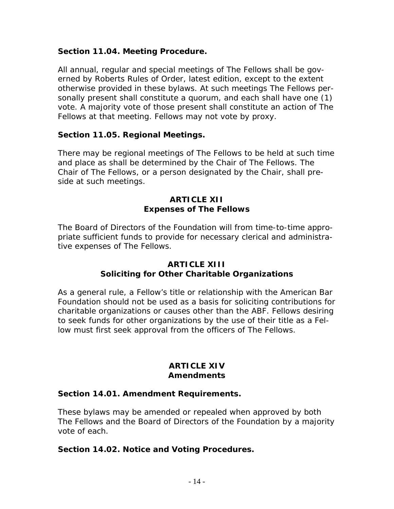#### **Section 11.04. Meeting Procedure.**

All annual, regular and special meetings of The Fellows shall be governed by *Roberts Rules of Order*, latest edition, except to the extent otherwise provided in these bylaws. At such meetings The Fellows personally present shall constitute a quorum, and each shall have one (1) vote. A majority vote of those present shall constitute an action of The Fellows at that meeting. Fellows may not vote by proxy.

#### **Section 11.05. Regional Meetings.**

There may be regional meetings of The Fellows to be held at such time and place as shall be determined by the Chair of The Fellows. The Chair of The Fellows, or a person designated by the Chair, shall preside at such meetings.

#### **ARTICLE XII Expenses of The Fellows**

The Board of Directors of the Foundation will from time-to-time appropriate sufficient funds to provide for necessary clerical and administrative expenses of The Fellows.

#### **ARTICLE XIII Soliciting for Other Charitable Organizations**

As a general rule, a Fellow's title or relationship with the American Bar Foundation should not be used as a basis for soliciting contributions for charitable organizations or causes other than the ABF. Fellows desiring to seek funds for other organizations by the use of their title as a Fellow must first seek approval from the officers of The Fellows.

#### **ARTICLE XIV Amendments**

#### **Section 14.01. Amendment Requirements.**

These bylaws may be amended or repealed when approved by both The Fellows and the Board of Directors of the Foundation by a majority vote of each.

#### **Section 14.02. Notice and Voting Procedures.**